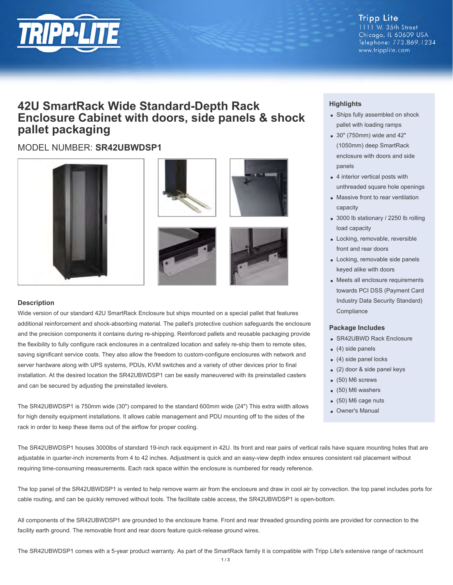

#### **Tripp Lite** 1111 W. 35th Street Chicago, IL 60609 USA Telephone: 773.869.1234 www.tripplite.com

# **42U SmartRack Wide Standard-Depth Rack Enclosure Cabinet with doors, side panels & shock pallet packaging**

# MODEL NUMBER: **SR42UBWDSP1**









### **Description**

Wide version of our standard 42U SmartRack Enclosure but ships mounted on a special pallet that features additional reinforcement and shock-absorbing material. The pallet's protective cushion safeguards the enclosure and the precision components it contains during re-shipping. Reinforced pallets and reusable packaging provide the flexibility to fully configure rack enclosures in a centralized location and safely re-ship them to remote sites, saving significant service costs. They also allow the freedom to custom-configure enclosures with network and server hardware along with UPS systems, PDUs, KVM switches and a variety of other devices prior to final installation. At the desired location the SR42UBWDSP1 can be easily maneuvered with its preinstalled casters and can be secured by adjusting the preinstalled levelers.

The SR42UBWDSP1 is 750mm wide (30") compared to the standard 600mm wide (24") This extra width allows for high density equipment installations. It allows cable management and PDU mounting off to the sides of the rack in order to keep these items out of the airflow for proper cooling.

## **Highlights**

- Ships fully assembled on shock pallet with loading ramps
- 30" (750mm) wide and 42" (1050mm) deep SmartRack enclosure with doors and side panels
- 4 interior vertical posts with unthreaded square hole openings
- Massive front to rear ventilation capacity
- 3000 lb stationary / 2250 lb rolling load capacity
- Locking, removable, reversible front and rear doors
- Locking, removable side panels keyed alike with doors
- Meets all enclosure requirements towards PCI DSS (Payment Card Industry Data Security Standard) **Compliance**

#### **Package Includes**

- SR42UBWD Rack Enclosure
- $(4)$  side panels
- (4) side panel locks
- (2) door & side panel keys
- (50) M6 screws
- (50) M6 washers
- (50) M6 cage nuts
- Owner's Manual

The SR42UBWDSP1 houses 3000lbs of standard 19-inch rack equipment in 42U. Its front and rear pairs of vertical rails have square mounting holes that are adjustable in quarter-inch increments from 4 to 42 inches. Adjustment is quick and an easy-view depth index ensures consistent rail placement without requiring time-consuming measurements. Each rack space within the enclosure is numbered for ready reference.

The top panel of the SR42UBWDSP1 is vented to help remove warm air from the enclosure and draw in cool air by convection. the top panel includes ports for cable routing, and can be quickly removed without tools. The facilitate cable access, the SR42UBWDSP1 is open-bottom.

All components of the SR42UBWDSP1 are grounded to the enclosure frame. Front and rear threaded grounding points are provided for connection to the facility earth ground. The removable front and rear doors feature quick-release ground wires.

The SR42UBWDSP1 comes with a 5-year product warranty. As part of the SmartRack family it is compatible with Tripp Lite's extensive range of rackmount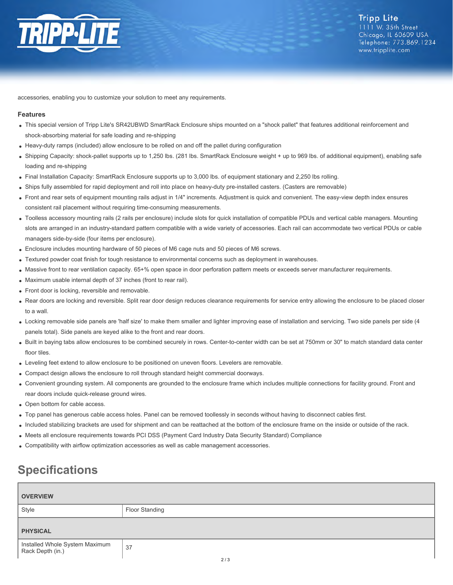

accessories, enabling you to customize your solution to meet any requirements.

#### **Features**

- This special version of Tripp Lite's SR42UBWD SmartRack Enclosure ships mounted on a "shock pallet" that features additional reinforcement and shock-absorbing material for safe loading and re-shipping
- Heavy-duty ramps (included) allow enclosure to be rolled on and off the pallet during configuration
- Shipping Capacity: shock-pallet supports up to 1,250 lbs. (281 lbs. SmartRack Enclosure weight + up to 969 lbs. of additional equipment), enabling safe loading and re-shipping
- Final Installation Capacity: SmartRack Enclosure supports up to 3,000 lbs. of equipment stationary and 2,250 lbs rolling.
- Ships fully assembled for rapid deployment and roll into place on heavy-duty pre-installed casters. (Casters are removable)
- Front and rear sets of equipment mounting rails adjust in 1/4" increments. Adjustment is quick and convenient. The easy-view depth index ensures consistent rail placement without requiring time-consuming measurements.
- Toolless accessory mounting rails (2 rails per enclosure) include slots for quick installation of compatible PDUs and vertical cable managers. Mounting slots are arranged in an industry-standard pattern compatible with a wide variety of accessories. Each rail can accommodate two vertical PDUs or cable managers side-by-side (four items per enclosure).
- Enclosure includes mounting hardware of 50 pieces of M6 cage nuts and 50 pieces of M6 screws.
- Textured powder coat finish for tough resistance to environmental concerns such as deployment in warehouses.
- Massive front to rear ventilation capacity. 65+% open space in door perforation pattern meets or exceeds server manufacturer requirements.
- Maximum usable internal depth of 37 inches (front to rear rail).
- Front door is locking, reversible and removable.
- Rear doors are locking and reversible. Split rear door design reduces clearance requirements for service entry allowing the enclosure to be placed closer to a wall.
- Locking removable side panels are 'half size' to make them smaller and lighter improving ease of installation and servicing. Two side panels per side (4 panels total). Side panels are keyed alike to the front and rear doors.
- Built in baying tabs allow enclosures to be combined securely in rows. Center-to-center width can be set at 750mm or 30" to match standard data center floor tiles.
- Leveling feet extend to allow enclosure to be positioned on uneven floors. Levelers are removable.
- Compact design allows the enclosure to roll through standard height commercial doorways.
- Convenient grounding system. All components are grounded to the enclosure frame which includes multiple connections for facility ground. Front and rear doors include quick-release ground wires.
- Open bottom for cable access.
- Top panel has generous cable access holes. Panel can be removed toollessly in seconds without having to disconnect cables first.
- Included stabilizing brackets are used for shipment and can be reattached at the bottom of the enclosure frame on the inside or outside of the rack.
- Meets all enclosure requirements towards PCI DSS (Payment Card Industry Data Security Standard) Compliance
- Compatibility with airflow optimization accessories as well as cable management accessories.

# **Specifications**

| <b>OVERVIEW</b>                                    |                |
|----------------------------------------------------|----------------|
| Style                                              | Floor Standing |
| <b>PHYSICAL</b>                                    |                |
| Installed Whole System Maximum<br>Rack Depth (in.) | 37<br>2/3      |